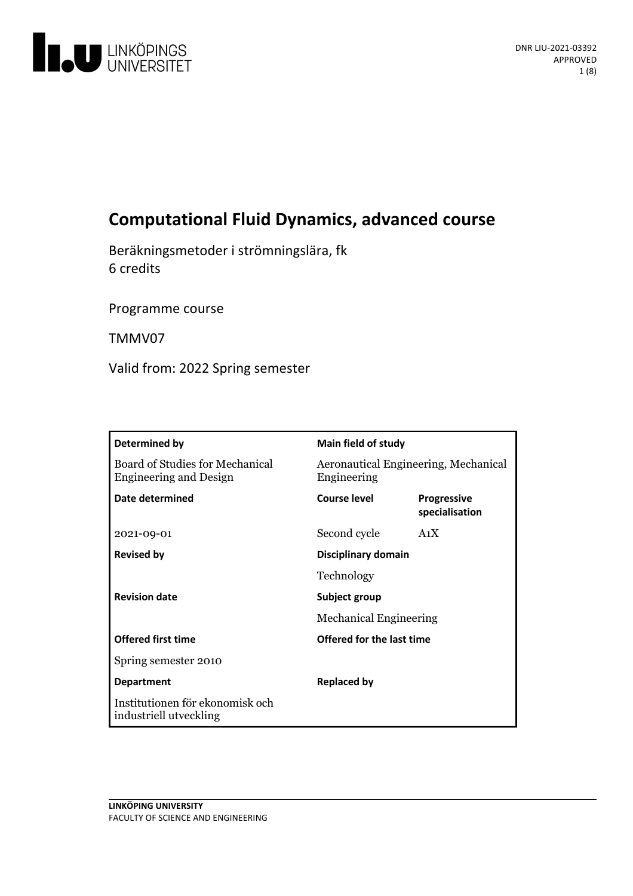

# **Computational Fluid Dynamics, advanced course**

Beräkningsmetoder i strömningslära, fk 6 credits

Programme course

TMMV07

Valid from: 2022 Spring semester

| Determined by                                                    | <b>Main field of study</b>                          |                                      |
|------------------------------------------------------------------|-----------------------------------------------------|--------------------------------------|
| Board of Studies for Mechanical<br><b>Engineering and Design</b> | Aeronautical Engineering, Mechanical<br>Engineering |                                      |
| <b>Date determined</b>                                           | <b>Course level</b>                                 | <b>Progressive</b><br>specialisation |
| 2021-09-01                                                       | Second cycle                                        | A <sub>1</sub> X                     |
| <b>Revised by</b>                                                | Disciplinary domain                                 |                                      |
|                                                                  | Technology                                          |                                      |
| <b>Revision date</b>                                             | Subject group                                       |                                      |
|                                                                  | <b>Mechanical Engineering</b>                       |                                      |
| <b>Offered first time</b>                                        | Offered for the last time                           |                                      |
| Spring semester 2010                                             |                                                     |                                      |
| <b>Department</b>                                                | <b>Replaced by</b>                                  |                                      |
| Institutionen för ekonomisk och<br>industriell utveckling        |                                                     |                                      |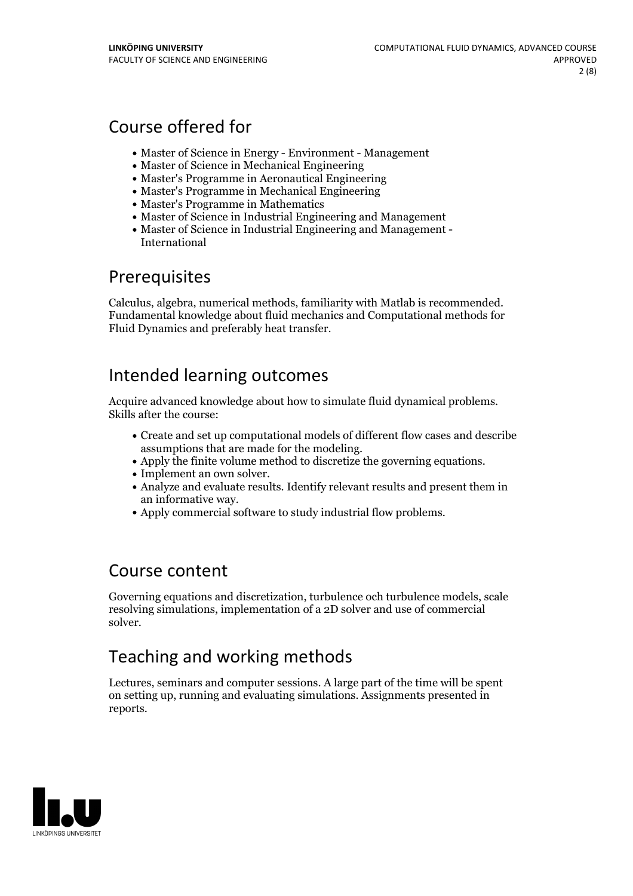## Course offered for

- Master of Science in Energy Environment Management
- Master of Science in Mechanical Engineering
- Master's Programme in Aeronautical Engineering
- Master's Programme in Mechanical Engineering
- Master's Programme in Mathematics
- Master of Science in Industrial Engineering and Management
- Master of Science in Industrial Engineering and Management International

## **Prerequisites**

Calculus, algebra, numerical methods, familiarity with Matlab is recommended. Fundamental knowledge about fluid mechanics and Computational methods for Fluid Dynamics and preferably heat transfer.

## Intended learning outcomes

Acquire advanced knowledge about how to simulate fluid dynamical problems. Skills after the course:

- Create and set up computational models of different flow cases and describe
- Apply the finite volume method to discretize the governing equations.<br>
Implement an own solver.<br>
Analyze and evaluate results. Identify relevant results and present them in
- 
- an informative way.<br>• Apply commercial software to study industrial flow problems.
- 

## Course content

Governing equations and discretization, turbulence och turbulence models, scale resolving simulations, implementation of a 2D solver and use of commercial solver.

## Teaching and working methods

Lectures, seminars and computer sessions. A large part of the time will be spent on setting up, running and evaluating simulations. Assignments presented in reports.

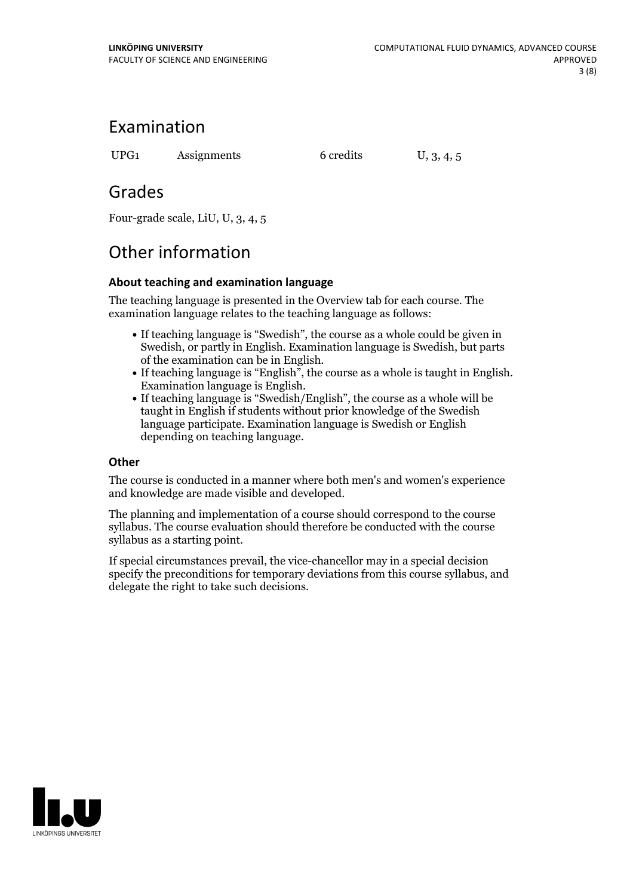## Examination

UPG1 Assignments 6 credits U, 3, 4, 5

## Grades

Four-grade scale, LiU, U, 3, 4, 5

# Other information

## **About teaching and examination language**

The teaching language is presented in the Overview tab for each course. The examination language relates to the teaching language as follows:

- If teaching language is "Swedish", the course as a whole could be given in Swedish, or partly in English. Examination language is Swedish, but parts
- of the examination can be in English. If teaching language is "English", the course as <sup>a</sup> whole is taught in English. Examination language is English. If teaching language is "Swedish/English", the course as <sup>a</sup> whole will be
- taught in English if students without prior knowledge of the Swedish language participate. Examination language is Swedish or English depending on teaching language.

### **Other**

The course is conducted in a manner where both men's and women's experience and knowledge are made visible and developed.

The planning and implementation of a course should correspond to the course syllabus. The course evaluation should therefore be conducted with the course syllabus as a starting point.

If special circumstances prevail, the vice-chancellor may in a special decision specify the preconditions for temporary deviations from this course syllabus, and delegate the right to take such decisions.

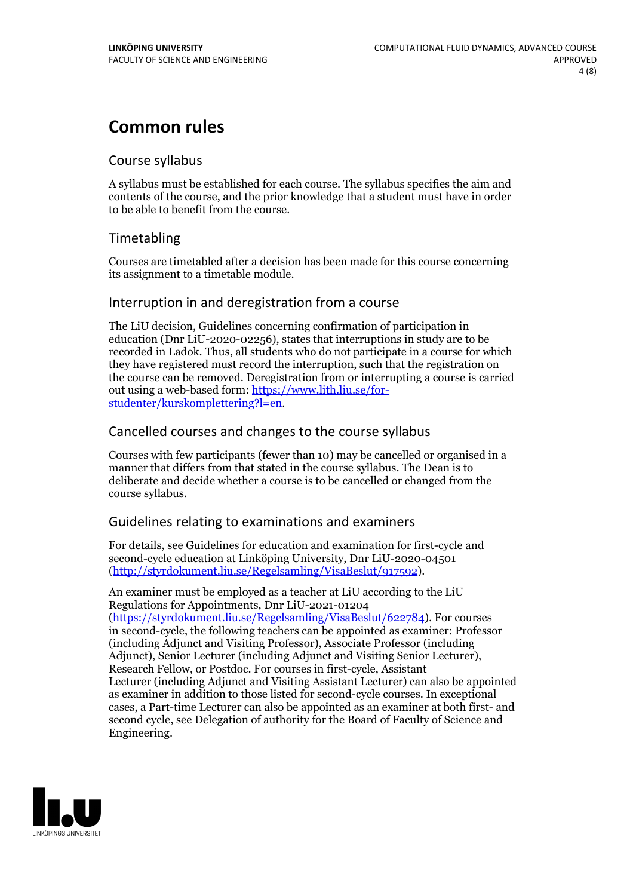## **Common rules**

### Course syllabus

A syllabus must be established for each course. The syllabus specifies the aim and contents of the course, and the prior knowledge that a student must have in order to be able to benefit from the course.

## Timetabling

Courses are timetabled after a decision has been made for this course concerning its assignment to a timetable module.

### Interruption in and deregistration from a course

The LiU decision, Guidelines concerning confirmation of participation in education (Dnr LiU-2020-02256), states that interruptions in study are to be recorded in Ladok. Thus, all students who do not participate in a course for which they have registered must record the interruption, such that the registration on the course can be removed. Deregistration from or interrupting a course is carried out using <sup>a</sup> web-based form: https://www.lith.liu.se/for- [studenter/kurskomplettering?l=en.](https://www.lith.liu.se/for-studenter/kurskomplettering?l=en)

## Cancelled courses and changes to the course syllabus

Courses with few participants (fewer than 10) may be cancelled or organised in a manner that differs from that stated in the course syllabus. The Dean is to deliberate and decide whether a course is to be cancelled or changed from the course syllabus.

## Guidelines relating to examinations and examiners

For details, see Guidelines for education and examination for first-cycle and second-cycle education at Linköping University, Dnr LiU-2020-04501 [\(http://styrdokument.liu.se/Regelsamling/VisaBeslut/917592\)](http://styrdokument.liu.se/Regelsamling/VisaBeslut/917592).

An examiner must be employed as a teacher at LiU according to the LiU Regulations for Appointments, Dnr LiU-2021-01204 [\(https://styrdokument.liu.se/Regelsamling/VisaBeslut/622784](https://styrdokument.liu.se/Regelsamling/VisaBeslut/622784)). For courses in second-cycle, the following teachers can be appointed as examiner: Professor (including Adjunct and Visiting Professor), Associate Professor (including Adjunct), Senior Lecturer (including Adjunct and Visiting Senior Lecturer), Research Fellow, or Postdoc. For courses in first-cycle, Assistant Lecturer (including Adjunct and Visiting Assistant Lecturer) can also be appointed as examiner in addition to those listed for second-cycle courses. In exceptional cases, a Part-time Lecturer can also be appointed as an examiner at both first- and second cycle, see Delegation of authority for the Board of Faculty of Science and Engineering.

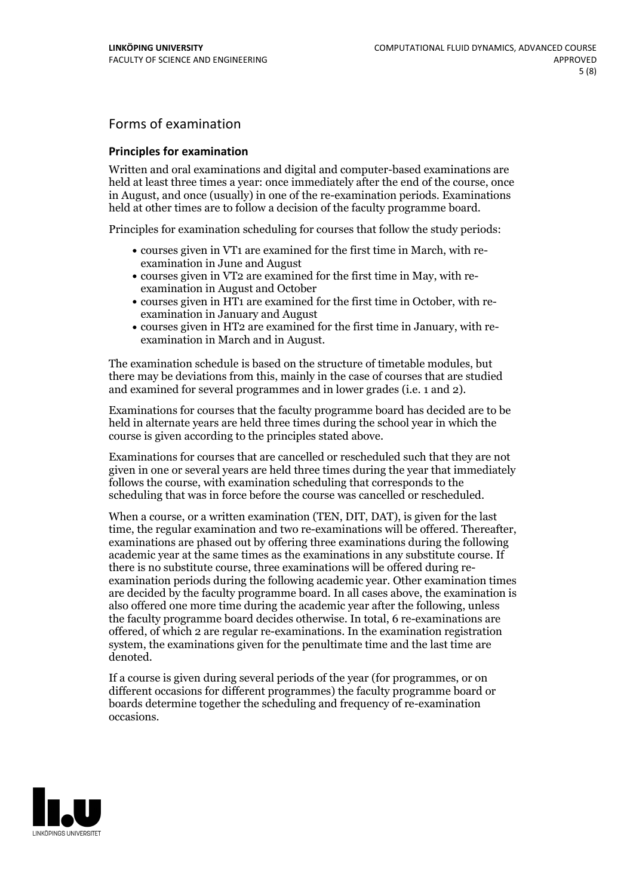## Forms of examination

#### **Principles for examination**

Written and oral examinations and digital and computer-based examinations are held at least three times a year: once immediately after the end of the course, once in August, and once (usually) in one of the re-examination periods. Examinations held at other times are to follow a decision of the faculty programme board.

Principles for examination scheduling for courses that follow the study periods:

- courses given in VT1 are examined for the first time in March, with re-examination in June and August
- courses given in VT2 are examined for the first time in May, with re-examination in August and October
- courses given in HT1 are examined for the first time in October, with re-examination in January and August
- courses given in HT2 are examined for the first time in January, with re-examination in March and in August.

The examination schedule is based on the structure of timetable modules, but there may be deviations from this, mainly in the case of courses that are studied and examined for several programmes and in lower grades (i.e. 1 and 2).

Examinations for courses that the faculty programme board has decided are to be held in alternate years are held three times during the school year in which the course is given according to the principles stated above.

Examinations for courses that are cancelled orrescheduled such that they are not given in one or several years are held three times during the year that immediately follows the course, with examination scheduling that corresponds to the scheduling that was in force before the course was cancelled or rescheduled.

When a course, or a written examination (TEN, DIT, DAT), is given for the last time, the regular examination and two re-examinations will be offered. Thereafter, examinations are phased out by offering three examinations during the following academic year at the same times as the examinations in any substitute course. If there is no substitute course, three examinations will be offered during re- examination periods during the following academic year. Other examination times are decided by the faculty programme board. In all cases above, the examination is also offered one more time during the academic year after the following, unless the faculty programme board decides otherwise. In total, 6 re-examinations are offered, of which 2 are regular re-examinations. In the examination registration system, the examinations given for the penultimate time and the last time are denoted.

If a course is given during several periods of the year (for programmes, or on different occasions for different programmes) the faculty programme board or boards determine together the scheduling and frequency of re-examination occasions.

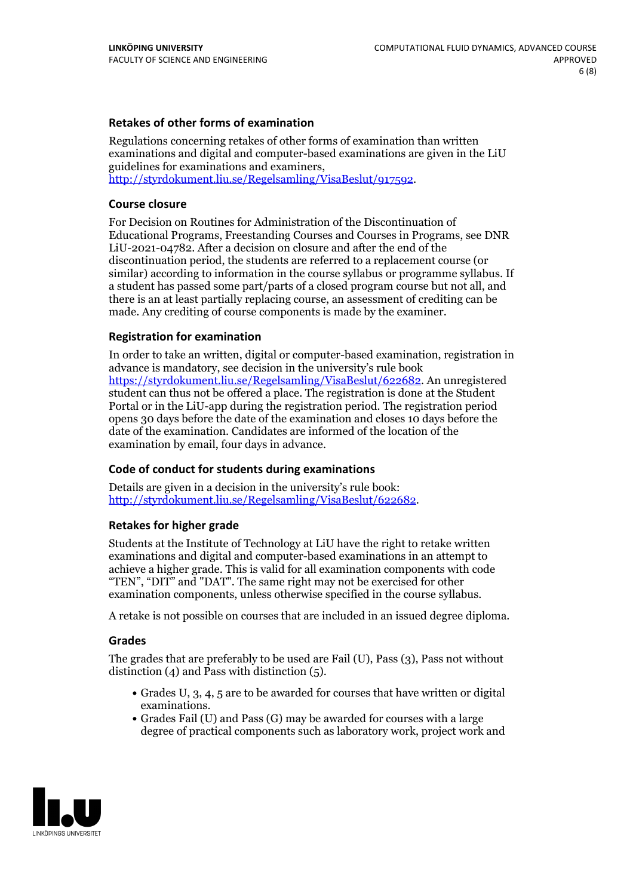### **Retakes of other forms of examination**

Regulations concerning retakes of other forms of examination than written examinations and digital and computer-based examinations are given in the LiU guidelines for examinations and examiners, [http://styrdokument.liu.se/Regelsamling/VisaBeslut/917592.](http://styrdokument.liu.se/Regelsamling/VisaBeslut/917592)

#### **Course closure**

For Decision on Routines for Administration of the Discontinuation of Educational Programs, Freestanding Courses and Courses in Programs, see DNR LiU-2021-04782. After a decision on closure and after the end of the discontinuation period, the students are referred to a replacement course (or similar) according to information in the course syllabus or programme syllabus. If a student has passed some part/parts of a closed program course but not all, and there is an at least partially replacing course, an assessment of crediting can be made. Any crediting of course components is made by the examiner.

### **Registration for examination**

In order to take an written, digital or computer-based examination, registration in advance is mandatory, see decision in the university's rule book [https://styrdokument.liu.se/Regelsamling/VisaBeslut/622682.](https://styrdokument.liu.se/Regelsamling/VisaBeslut/622682) An unregistered student can thus not be offered a place. The registration is done at the Student Portal or in the LiU-app during the registration period. The registration period opens 30 days before the date of the examination and closes 10 days before the date of the examination. Candidates are informed of the location of the examination by email, four days in advance.

### **Code of conduct for students during examinations**

Details are given in a decision in the university's rule book: <http://styrdokument.liu.se/Regelsamling/VisaBeslut/622682>.

#### **Retakes for higher grade**

Students at the Institute of Technology at LiU have the right to retake written examinations and digital and computer-based examinations in an attempt to achieve a higher grade. This is valid for all examination components with code "TEN", "DIT" and "DAT". The same right may not be exercised for other examination components, unless otherwise specified in the course syllabus.

A retake is not possible on courses that are included in an issued degree diploma.

#### **Grades**

The grades that are preferably to be used are Fail (U), Pass (3), Pass not without distinction  $(4)$  and Pass with distinction  $(5)$ .

- Grades U, 3, 4, 5 are to be awarded for courses that have written or digital examinations.<br>• Grades Fail (U) and Pass (G) may be awarded for courses with a large
- degree of practical components such as laboratory work, project work and

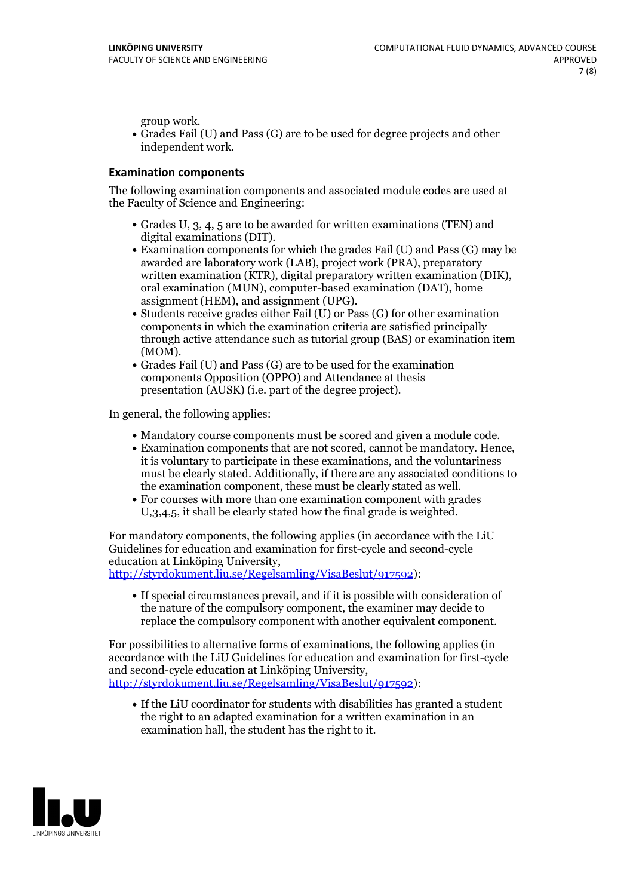group work.<br>• Grades Fail (U) and Pass (G) are to be used for degree projects and other independent work.

#### **Examination components**

The following examination components and associated module codes are used at the Faculty of Science and Engineering:

- Grades U, 3, 4, 5 are to be awarded for written examinations (TEN) and
- digital examinations (DIT).<br>• Examination components for which the grades Fail (U) and Pass (G) may be awarded are laboratory work (LAB), project work (PRA), preparatory written examination (KTR), digital preparatory written examination (DIK), oral examination (MUN), computer-based examination (DAT), home
- assignment (HEM), and assignment (UPG).<br>• Students receive grades either Fail (U) or Pass (G) for other examination components in which the examination criteria are satisfied principally through active attendance such as tutorial group (BAS) or examination item
- (MOM).<br>• Grades Fail (U) and Pass (G) are to be used for the examination components Opposition (OPPO) and Attendance at thesis presentation (AUSK) (i.e. part of the degree project).

In general, the following applies:

- 
- Mandatory course components must be scored and given <sup>a</sup> module code. Examination components that are not scored, cannot be mandatory. Hence, it is voluntary to participate in these examinations, and the voluntariness must be clearly stated. Additionally, if there are any associated conditions to
- the examination component, these must be clearly stated as well.<br>• For courses with more than one examination component with grades U,3,4,5, it shall be clearly stated how the final grade is weighted.

For mandatory components, the following applies (in accordance with the LiU Guidelines for education and examination for first-cycle and second-cycle

[http://styrdokument.liu.se/Regelsamling/VisaBeslut/917592\)](http://styrdokument.liu.se/Regelsamling/VisaBeslut/917592):

If special circumstances prevail, and if it is possible with consideration of the nature of the compulsory component, the examiner may decide to replace the compulsory component with another equivalent component.

For possibilities to alternative forms of examinations, the following applies (in accordance with the LiU Guidelines for education and examination for first-cycle [http://styrdokument.liu.se/Regelsamling/VisaBeslut/917592\)](http://styrdokument.liu.se/Regelsamling/VisaBeslut/917592):

If the LiU coordinator for students with disabilities has granted a student the right to an adapted examination for a written examination in an examination hall, the student has the right to it.